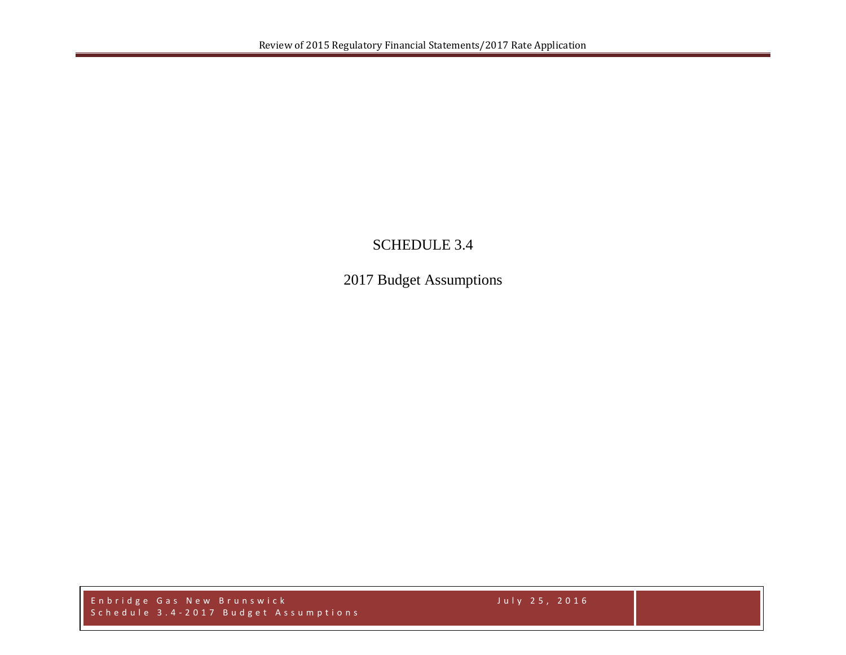## SCHEDULE 3.4

2017 Budget Assumptions

Enbridge Gas New Brunswick July 2 5 , 2016 Schedule 3.4 - 2017 Budget Assumptions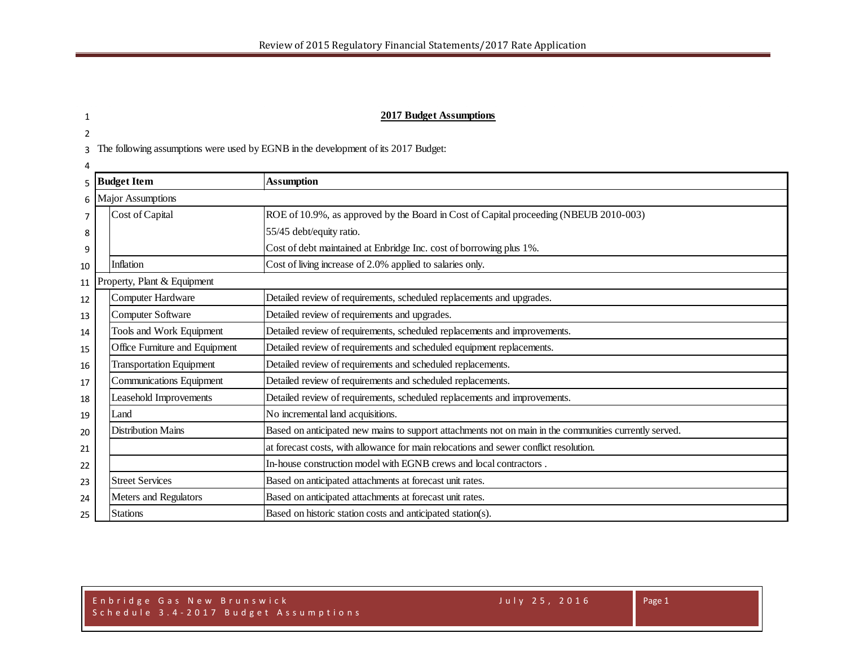## **2017 Budget Assumptions**

The following assumptions were used by EGNB in the development of its 2017 Budget:

|                | 5 Budget Item |                                 | Assumption                                                                                             |  |  |  |  |  |  |  |
|----------------|---------------|---------------------------------|--------------------------------------------------------------------------------------------------------|--|--|--|--|--|--|--|
|                |               | 6 Major Assumptions             |                                                                                                        |  |  |  |  |  |  |  |
| $\overline{7}$ |               | Cost of Capital                 | ROE of 10.9%, as approved by the Board in Cost of Capital proceeding (NBEUB 2010-003)                  |  |  |  |  |  |  |  |
| 8              |               |                                 | 55/45 debt/equity ratio.                                                                               |  |  |  |  |  |  |  |
| 9              |               |                                 | Cost of debt maintained at Enbridge Inc. cost of borrowing plus 1%.                                    |  |  |  |  |  |  |  |
| 10             |               | Inflation                       | Cost of living increase of 2.0% applied to salaries only.                                              |  |  |  |  |  |  |  |
| 11             |               | Property, Plant & Equipment     |                                                                                                        |  |  |  |  |  |  |  |
| 12             |               | Computer Hardware               | Detailed review of requirements, scheduled replacements and upgrades.                                  |  |  |  |  |  |  |  |
| 13             |               | Computer Software               | Detailed review of requirements and upgrades.                                                          |  |  |  |  |  |  |  |
| 14             |               | Tools and Work Equipment        | Detailed review of requirements, scheduled replacements and improvements.                              |  |  |  |  |  |  |  |
| 15             |               | Office Furniture and Equipment  | Detailed review of requirements and scheduled equipment replacements.                                  |  |  |  |  |  |  |  |
| 16             |               | <b>Transportation Equipment</b> | Detailed review of requirements and scheduled replacements.                                            |  |  |  |  |  |  |  |
| 17             |               | Communications Equipment        | Detailed review of requirements and scheduled replacements.                                            |  |  |  |  |  |  |  |
| 18             |               | Leasehold Improvements          | Detailed review of requirements, scheduled replacements and improvements.                              |  |  |  |  |  |  |  |
| 19             |               | Land                            | No incremental land acquisitions.                                                                      |  |  |  |  |  |  |  |
| 20             |               | <b>Distribution Mains</b>       | Based on anticipated new mains to support attachments not on main in the communities currently served. |  |  |  |  |  |  |  |
| 21             |               |                                 | at forecast costs, with allowance for main relocations and sewer conflict resolution.                  |  |  |  |  |  |  |  |
| 22             |               |                                 | In-house construction model with EGNB crews and local contractors.                                     |  |  |  |  |  |  |  |
| 23             |               | <b>Street Services</b>          | Based on anticipated attachments at forecast unit rates.                                               |  |  |  |  |  |  |  |
| 24             |               | Meters and Regulators           | Based on anticipated attachments at forecast unit rates.                                               |  |  |  |  |  |  |  |
| 25             |               | <b>Stations</b>                 | Based on historic station costs and anticipated station(s).                                            |  |  |  |  |  |  |  |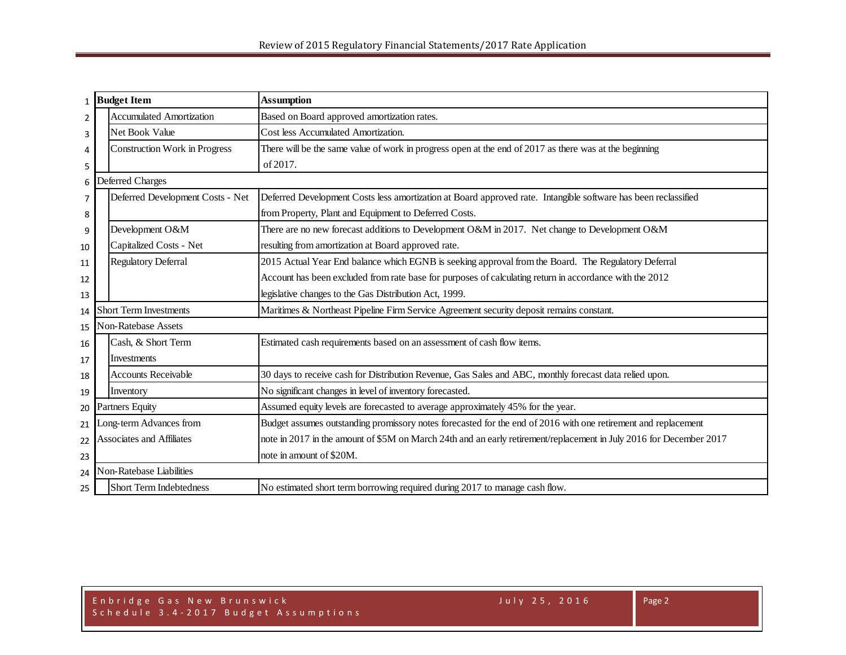|                                | 1 Budget Item             |                                      | <b>Assumption</b>                                                                                                   |  |  |  |  |  |  |  |
|--------------------------------|---------------------------|--------------------------------------|---------------------------------------------------------------------------------------------------------------------|--|--|--|--|--|--|--|
| 2                              |                           | <b>Accumulated Amortization</b>      | Based on Board approved amortization rates.                                                                         |  |  |  |  |  |  |  |
| 3                              |                           | Net Book Value                       | Cost less Accumulated Amortization.                                                                                 |  |  |  |  |  |  |  |
| 4                              |                           | <b>Construction Work in Progress</b> | There will be the same value of work in progress open at the end of 2017 as there was at the beginning              |  |  |  |  |  |  |  |
| 5                              |                           |                                      | of 2017.                                                                                                            |  |  |  |  |  |  |  |
|                                |                           | 6 Deferred Charges                   |                                                                                                                     |  |  |  |  |  |  |  |
| $\overline{7}$                 |                           | Deferred Development Costs - Net     | Deferred Development Costs less amortization at Board approved rate. Intangible software has been reclassified      |  |  |  |  |  |  |  |
| 8                              |                           |                                      | from Property, Plant and Equipment to Deferred Costs.                                                               |  |  |  |  |  |  |  |
| 9                              |                           | Development O&M                      | There are no new forecast additions to Development O&M in 2017. Net change to Development O&M                       |  |  |  |  |  |  |  |
| 10                             |                           | Capitalized Costs - Net              | resulting from amortization at Board approved rate.                                                                 |  |  |  |  |  |  |  |
| 11                             |                           | <b>Regulatory Deferral</b>           | 2015 Actual Year End balance which EGNB is seeking approval from the Board. The Regulatory Deferral                 |  |  |  |  |  |  |  |
| 12                             |                           |                                      | Account has been excluded from rate base for purposes of calculating return in accordance with the 2012             |  |  |  |  |  |  |  |
| 13                             |                           |                                      | legislative changes to the Gas Distribution Act, 1999.                                                              |  |  |  |  |  |  |  |
| 14                             |                           | <b>Short Term Investments</b>        | Maritimes & Northeast Pipeline Firm Service Agreement security deposit remains constant.                            |  |  |  |  |  |  |  |
| 15                             |                           | <b>Non-Ratebase Assets</b>           |                                                                                                                     |  |  |  |  |  |  |  |
| 16                             |                           | Cash, & Short Term                   | Estimated cash requirements based on an assessment of cash flow items.                                              |  |  |  |  |  |  |  |
| 17                             |                           | <b>Investments</b>                   |                                                                                                                     |  |  |  |  |  |  |  |
| 18                             |                           | <b>Accounts Receivable</b>           | 30 days to receive cash for Distribution Revenue, Gas Sales and ABC, monthly forecast data relied upon.             |  |  |  |  |  |  |  |
| 19                             |                           | Inventory                            | No significant changes in level of inventory forecasted.                                                            |  |  |  |  |  |  |  |
| 20                             | Partners Equity           |                                      | Assumed equity levels are forecasted to average approximately 45% for the year.                                     |  |  |  |  |  |  |  |
| 21                             | ong-term Advances from    |                                      | Budget assumes outstanding promissory notes forecasted for the end of 2016 with one retirement and replacement      |  |  |  |  |  |  |  |
| 22                             | Associates and Affiliates |                                      | note in 2017 in the amount of \$5M on March 24th and an early retirement/replacement in July 2016 for December 2017 |  |  |  |  |  |  |  |
| 23                             |                           |                                      | note in amount of \$20M.                                                                                            |  |  |  |  |  |  |  |
| Non-Ratebase Liabilities<br>24 |                           |                                      |                                                                                                                     |  |  |  |  |  |  |  |
| 25                             |                           | <b>Short Term Indebtedness</b>       | No estimated short term borrowing required during 2017 to manage cash flow.                                         |  |  |  |  |  |  |  |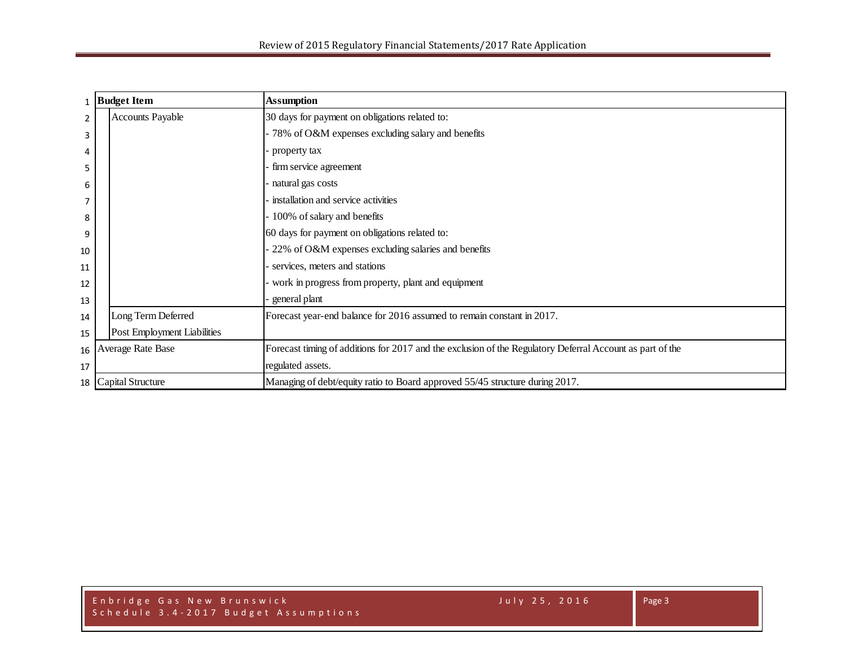|                | <b>Budget Item</b>          | <b>Assumption</b>                                                                                         |
|----------------|-----------------------------|-----------------------------------------------------------------------------------------------------------|
| $\overline{2}$ | <b>Accounts Payable</b>     | 30 days for payment on obligations related to:                                                            |
| 3              |                             | 78% of O&M expenses excluding salary and benefits                                                         |
| 4              |                             | property tax                                                                                              |
| 5              |                             | firm service agreement                                                                                    |
| 6              |                             | natural gas costs                                                                                         |
| 7              |                             | installation and service activities                                                                       |
| 8              |                             | 100% of salary and benefits                                                                               |
| 9              |                             | 60 days for payment on obligations related to:                                                            |
| 10             |                             | 22% of O&M expenses excluding salaries and benefits                                                       |
| 11             |                             | services, meters and stations                                                                             |
| 12             |                             | work in progress from property, plant and equipment                                                       |
| 13             |                             | general plant                                                                                             |
| 14             | Long Term Deferred          | Forecast year-end balance for 2016 assumed to remain constant in 2017.                                    |
| 15             | Post Employment Liabilities |                                                                                                           |
| 16             | Average Rate Base           | Forecast timing of additions for 2017 and the exclusion of the Regulatory Deferral Account as part of the |
| 17             |                             | regulated assets.                                                                                         |
|                | 18 Capital Structure        | Managing of debt/equity ratio to Board approved 55/45 structure during 2017.                              |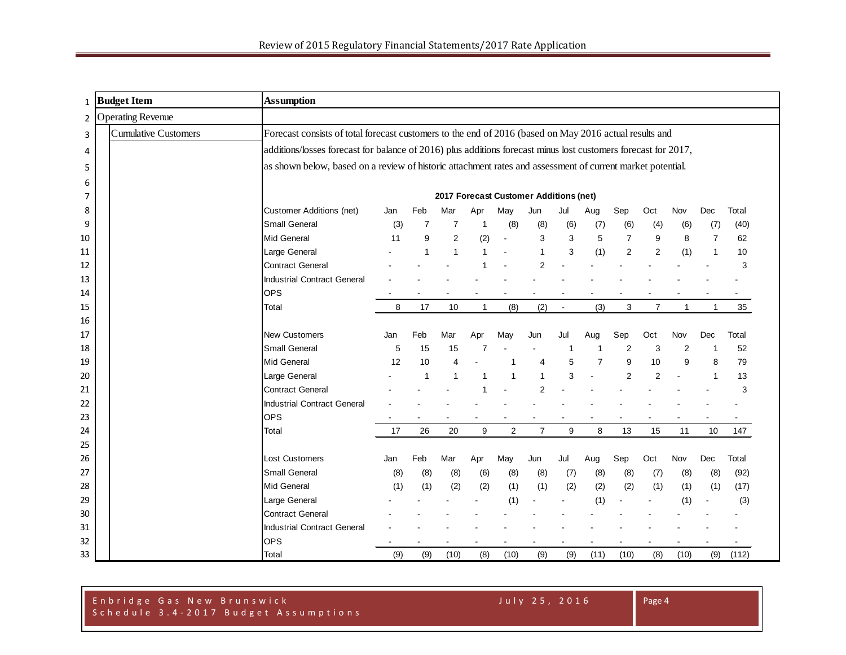| 1  | <b>Budget Item</b>          | <b>Assumption</b>                                                                                              |     |     |                |              |                                        |                |                |      |                |                |                |              |       |
|----|-----------------------------|----------------------------------------------------------------------------------------------------------------|-----|-----|----------------|--------------|----------------------------------------|----------------|----------------|------|----------------|----------------|----------------|--------------|-------|
| 2  | <b>Operating Revenue</b>    |                                                                                                                |     |     |                |              |                                        |                |                |      |                |                |                |              |       |
| 3  | <b>Cumulative Customers</b> | Forecast consists of total forecast customers to the end of 2016 (based on May 2016 actual results and         |     |     |                |              |                                        |                |                |      |                |                |                |              |       |
| 4  |                             | additions/losses forecast for balance of 2016) plus additions forecast minus lost customers forecast for 2017, |     |     |                |              |                                        |                |                |      |                |                |                |              |       |
| 5  |                             | as shown below, based on a review of historic attachment rates and assessment of current market potential.     |     |     |                |              |                                        |                |                |      |                |                |                |              |       |
| 6  |                             |                                                                                                                |     |     |                |              |                                        |                |                |      |                |                |                |              |       |
| 7  |                             |                                                                                                                |     |     |                |              | 2017 Forecast Customer Additions (net) |                |                |      |                |                |                |              |       |
| 8  |                             | <b>Customer Additions (net)</b>                                                                                | Jan | Feb | Mar            | Apr          | May                                    | Jun            | Jul            | Aug  | Sep            | Oct            | Nov            | <b>Dec</b>   | Total |
| 9  |                             | <b>Small General</b>                                                                                           | (3) | 7   | 7              |              | (8)                                    | (8)            | (6)            | (7)  | (6)            | (4)            | (6)            | (7)          | (40)  |
| 10 |                             | Mid General                                                                                                    | 11  | 9   | $\overline{2}$ | (2)          |                                        | 3              | 3              | 5    | $\overline{7}$ | 9              | 8              | 7            | 62    |
| 11 |                             | Large General                                                                                                  |     |     | 1              | $\mathbf 1$  |                                        | $\overline{1}$ | 3              | (1)  | 2              | $\overline{2}$ | (1)            | 1            | 10    |
| 12 |                             | <b>Contract General</b>                                                                                        |     |     |                |              |                                        | $\overline{2}$ |                |      |                |                |                |              | 3     |
| 13 |                             | <b>Industrial Contract General</b>                                                                             |     |     |                |              |                                        |                |                |      |                |                |                |              |       |
| 14 |                             | <b>OPS</b>                                                                                                     |     |     |                |              |                                        |                |                |      |                |                |                |              |       |
| 15 |                             | Total                                                                                                          | 8   | 17  | 10             | $\mathbf{1}$ | (8)                                    | (2)            | $\blacksquare$ | (3)  | 3              | $\overline{7}$ | $\mathbf{1}$   | $\mathbf{1}$ | 35    |
| 16 |                             |                                                                                                                |     |     |                |              |                                        |                |                |      |                |                |                |              |       |
| 17 |                             | <b>New Customers</b>                                                                                           | Jan | Feb | Mar            | Apr          | May                                    | Jun            | Jul            | Aug  | Sep            | Oct            | Nov            | Dec          | Total |
| 18 |                             | Small General                                                                                                  | 5   | 15  | 15             |              |                                        |                |                |      | 2              | 3              | $\overline{2}$ |              | 52    |
| 19 |                             | <b>Mid General</b>                                                                                             | 12  | 10  | 4              |              |                                        | 4              | 5              | 7    | 9              | 10             | 9              | 8            | 79    |
| 20 |                             | Large General                                                                                                  |     |     | 1              |              |                                        | 1              | 3              |      | 2              | $\overline{2}$ |                | -1           | 13    |
| 21 |                             | <b>Contract General</b>                                                                                        |     |     |                |              |                                        |                |                |      |                |                |                |              | 3     |
| 22 |                             | Industrial Contract General                                                                                    |     |     |                |              |                                        |                |                |      |                |                |                |              |       |
| 23 |                             | <b>OPS</b>                                                                                                     |     |     |                |              |                                        |                |                |      |                |                |                |              |       |
| 24 |                             | Total                                                                                                          | 17  | 26  | 20             | 9            | $\overline{2}$                         | $\overline{7}$ | 9              | 8    | 13             | 15             | 11             | 10           | 147   |
| 25 |                             |                                                                                                                |     |     |                |              |                                        |                |                |      |                |                |                |              |       |
| 26 |                             | <b>Lost Customers</b>                                                                                          | Jan | Feb | Mar            | Apr          | May                                    | Jun            | Jul            | Aug  | Sep            | Oct            | Nov            | Dec          | Total |
| 27 |                             | <b>Small General</b>                                                                                           | (8) | (8) | (8)            | (6)          | (8)                                    | (8)            | (7)            | (8)  | (8)            | (7)            | (8)            | (8)          | (92)  |
| 28 |                             | Mid General                                                                                                    | (1) | (1) | (2)            | (2)          | (1)                                    | (1)            | (2)            | (2)  | (2)            | (1)            | (1)            | (1)          | (17)  |
| 29 |                             | Large General                                                                                                  |     |     |                |              | (1)                                    |                |                | (1)  |                |                | (1)            |              | (3)   |
| 30 |                             | <b>Contract General</b>                                                                                        |     |     |                |              |                                        |                |                |      |                |                |                |              |       |
| 31 |                             | <b>Industrial Contract General</b>                                                                             |     |     |                |              |                                        |                |                |      |                |                |                |              |       |
| 32 |                             | <b>OPS</b>                                                                                                     |     |     |                |              |                                        |                |                |      |                |                |                |              |       |
| 33 |                             | Total                                                                                                          | (9) | (9) | (10)           | (8)          | (10)                                   | (9)            | (9)            | (11) | (10)           | (8)            | (10)           | (9)          | (112) |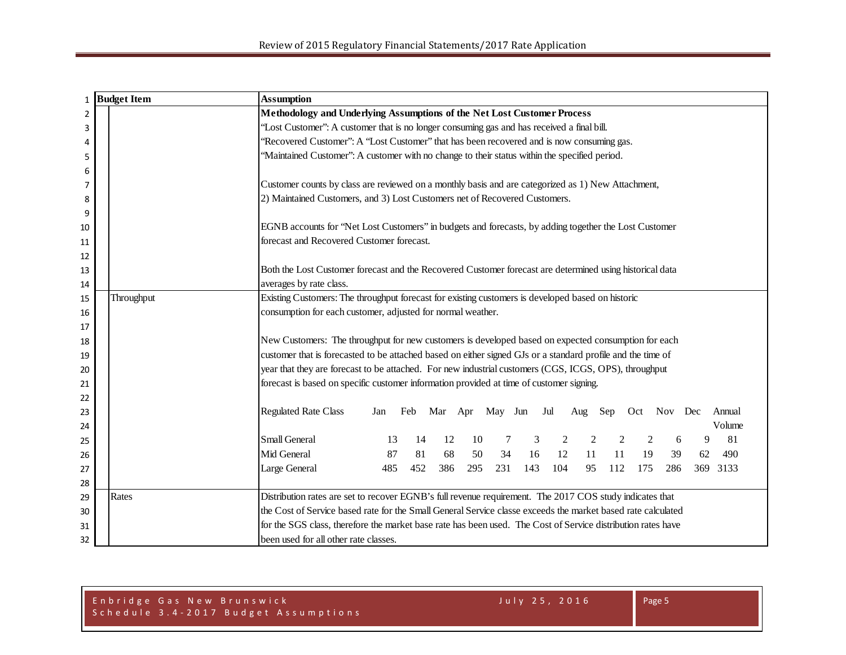| 1              | <b>Budget Item</b> |            | <b>Assumption</b>                                                                                            |
|----------------|--------------------|------------|--------------------------------------------------------------------------------------------------------------|
| $\overline{2}$ |                    |            | Methodology and Underlying Assumptions of the Net Lost Customer Process                                      |
| 3              |                    |            | "Lost Customer": A customer that is no longer consuming gas and has received a final bill.                   |
| 4              |                    |            | 'Recovered Customer'': A "Lost Customer" that has been recovered and is now consuming gas.                   |
| 5              |                    |            | 'Maintained Customer": A customer with no change to their status within the specified period.                |
| 6              |                    |            |                                                                                                              |
| 7              |                    |            | Customer counts by class are reviewed on a monthly basis and are categorized as 1) New Attachment,           |
| 8              |                    |            | 2) Maintained Customers, and 3) Lost Customers net of Recovered Customers.                                   |
| 9              |                    |            |                                                                                                              |
| 10             |                    |            | EGNB accounts for 'Net Lost Customers' in budgets and forecasts, by adding together the Lost Customer        |
| 11             |                    |            | forecast and Recovered Customer forecast.                                                                    |
| 12             |                    |            |                                                                                                              |
| 13             |                    |            | Both the Lost Customer forecast and the Recovered Customer forecast are determined using historical data     |
| 14             |                    |            | averages by rate class.                                                                                      |
| 15             |                    | Throughput | Existing Customers: The throughput forecast for existing customers is developed based on historic            |
| 16             |                    |            | consumption for each customer, adjusted for normal weather.                                                  |
| 17             |                    |            |                                                                                                              |
| 18             |                    |            | New Customers: The throughput for new customers is developed based on expected consumption for each          |
| 19             |                    |            | customer that is forecasted to be attached based on either signed GJs or a standard profile and the time of  |
| 20             |                    |            | year that they are forecast to be attached. For new industrial customers (CGS, ICGS, OPS), throughput        |
| 21             |                    |            | forecast is based on specific customer information provided at time of customer signing.                     |
| 22             |                    |            |                                                                                                              |
| 23             |                    |            | <b>Regulated Rate Class</b><br>Mar Apr May Jun Jul<br>Feb<br>Sep<br>Oct Nov Dec<br>Annual<br>Jan<br>Aug      |
| 24             |                    |            | Volume                                                                                                       |
| 25             |                    |            | <b>Small General</b><br>81<br>12<br>10<br>3<br>$\overline{2}$<br>13<br>14<br>2<br>6<br>9                     |
| 26             |                    |            | Mid General<br>68<br>34<br>11<br>87<br>81<br>50<br>16<br>12<br>11<br>19<br>490<br>39<br>62                   |
| 27             |                    |            | 231<br>143<br>485<br>452<br>386<br>295<br>104<br>112<br>175<br>286<br>369 3133<br>Large General<br>95        |
| 28             |                    |            |                                                                                                              |
| 29             |                    | Rates      | Distribution rates are set to recover EGNB's full revenue requirement. The 2017 COS study indicates that     |
| 30             |                    |            | the Cost of Service based rate for the Small General Service classe exceeds the market based rate calculated |
| 31             |                    |            | for the SGS class, therefore the market base rate has been used. The Cost of Service distribution rates have |
| 32             |                    |            | been used for all other rate classes.                                                                        |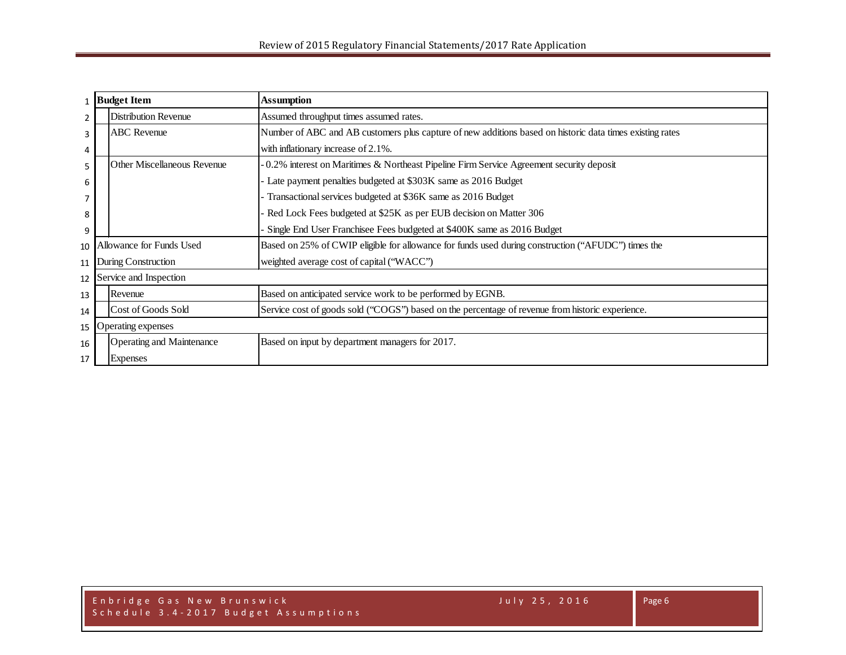|                          | <b>Budget Item</b>        |                             | <b>Assumption</b>                                                                                        |  |  |  |  |  |  |
|--------------------------|---------------------------|-----------------------------|----------------------------------------------------------------------------------------------------------|--|--|--|--|--|--|
| 2                        |                           | <b>Distribution Revenue</b> | Assumed throughput times assumed rates.                                                                  |  |  |  |  |  |  |
| 3                        |                           | <b>ABC</b> Revenue          | Number of ABC and AB customers plus capture of new additions based on historic data times existing rates |  |  |  |  |  |  |
| 4                        |                           |                             | with inflationary increase of 2.1%.                                                                      |  |  |  |  |  |  |
| 5                        |                           | Other Miscellaneous Revenue | 0.2% interest on Maritimes & Northeast Pipeline Firm Service Agreement security deposit                  |  |  |  |  |  |  |
| 6                        |                           |                             | Late payment penalties budgeted at \$303K same as 2016 Budget                                            |  |  |  |  |  |  |
|                          |                           |                             | Transactional services budgeted at \$36K same as 2016 Budget                                             |  |  |  |  |  |  |
| 8                        |                           |                             | Red Lock Fees budgeted at \$25K as per EUB decision on Matter 306                                        |  |  |  |  |  |  |
| 9                        |                           |                             | Single End User Franchisee Fees budgeted at \$400K same as 2016 Budget                                   |  |  |  |  |  |  |
| 10                       |                           | Allowance for Funds Used    | Based on 25% of CWIP eligible for allowance for funds used during construction ("AFUDC") times the       |  |  |  |  |  |  |
| 11                       | During Construction       |                             | weighted average cost of capital ("WACC")                                                                |  |  |  |  |  |  |
| 12                       |                           | Service and Inspection      |                                                                                                          |  |  |  |  |  |  |
| 13                       |                           | Revenue                     | Based on anticipated service work to be performed by EGNB.                                               |  |  |  |  |  |  |
| 14                       |                           | Cost of Goods Sold          | Service cost of goods sold ("COGS") based on the percentage of revenue from historic experience.         |  |  |  |  |  |  |
| Operating expenses<br>15 |                           |                             |                                                                                                          |  |  |  |  |  |  |
| 16                       | Operating and Maintenance |                             | Based on input by department managers for 2017.                                                          |  |  |  |  |  |  |
| 17                       |                           | <b>Expenses</b>             |                                                                                                          |  |  |  |  |  |  |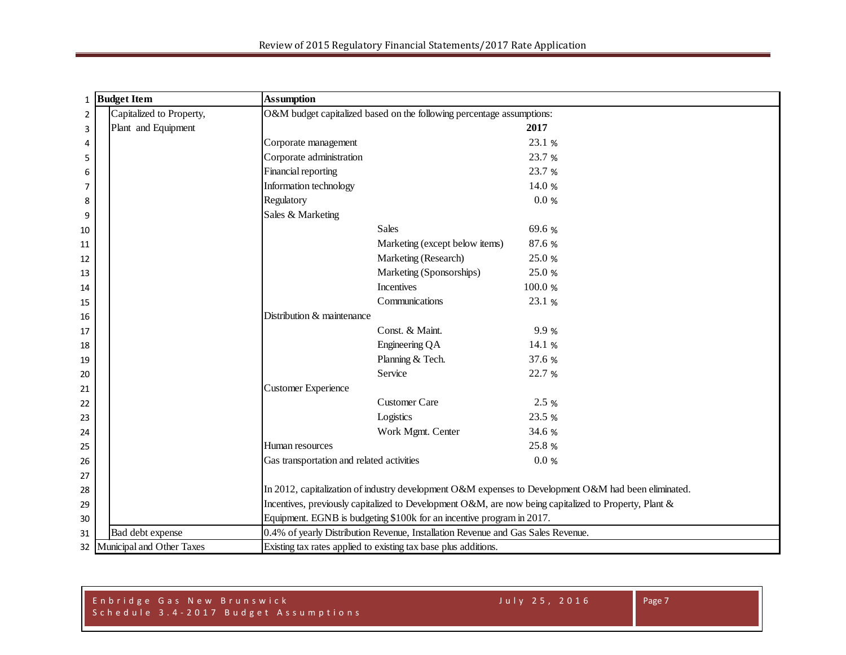| 1              | <b>Budget Item</b>        | <b>Assumption</b>                                                                                     |  |  |  |  |  |  |
|----------------|---------------------------|-------------------------------------------------------------------------------------------------------|--|--|--|--|--|--|
| $\overline{2}$ | Capitalized to Property,  | O&M budget capitalized based on the following percentage assumptions:                                 |  |  |  |  |  |  |
| $\overline{3}$ | Plant and Equipment       | 2017                                                                                                  |  |  |  |  |  |  |
| 4              |                           | Corporate management<br>23.1 %                                                                        |  |  |  |  |  |  |
| 5              |                           | Corporate administration<br>23.7 %                                                                    |  |  |  |  |  |  |
| 6              |                           | Financial reporting<br>23.7 %                                                                         |  |  |  |  |  |  |
| 7              |                           | Information technology<br>14.0 %                                                                      |  |  |  |  |  |  |
| 8              |                           | Regulatory<br>0.0 %                                                                                   |  |  |  |  |  |  |
| 9              |                           | Sales & Marketing                                                                                     |  |  |  |  |  |  |
| 10             |                           | <b>Sales</b><br>69.6 %                                                                                |  |  |  |  |  |  |
| 11             |                           | 87.6 %<br>Marketing (except below items)                                                              |  |  |  |  |  |  |
| 12             |                           | Marketing (Research)<br>25.0 %                                                                        |  |  |  |  |  |  |
| 13             |                           | Marketing (Sponsorships)<br>25.0 %                                                                    |  |  |  |  |  |  |
| 14             |                           | Incentives<br>100.0 %                                                                                 |  |  |  |  |  |  |
| 15             |                           | Communications<br>23.1 %                                                                              |  |  |  |  |  |  |
| 16             |                           | Distribution & maintenance                                                                            |  |  |  |  |  |  |
| 17             |                           | Const. & Maint.<br>9.9 %                                                                              |  |  |  |  |  |  |
| 18             |                           | Engineering QA<br>14.1 %                                                                              |  |  |  |  |  |  |
| 19             |                           | Planning & Tech.<br>37.6 %                                                                            |  |  |  |  |  |  |
| 20             |                           | Service<br>22.7 %                                                                                     |  |  |  |  |  |  |
| 21             |                           | Customer Experience                                                                                   |  |  |  |  |  |  |
| 22             |                           | <b>Customer Care</b><br>2.5 %                                                                         |  |  |  |  |  |  |
| 23             |                           | Logistics<br>23.5 %                                                                                   |  |  |  |  |  |  |
| 24             |                           | Work Mgmt. Center<br>34.6 %                                                                           |  |  |  |  |  |  |
| 25             |                           | 25.8 %<br>Human resources                                                                             |  |  |  |  |  |  |
| 26             |                           | 0.0 %<br>Gas transportation and related activities                                                    |  |  |  |  |  |  |
| 27             |                           |                                                                                                       |  |  |  |  |  |  |
| 28             |                           | In 2012, capitalization of industry development O&M expenses to Development O&M had been eliminated.  |  |  |  |  |  |  |
| 29             |                           | Incentives, previously capitalized to Development O&M, are now being capitalized to Property, Plant & |  |  |  |  |  |  |
| 30             |                           | Equipment. EGNB is budgeting \$100k for an incentive program in 2017.                                 |  |  |  |  |  |  |
| 31             | Bad debt expense          | 0.4% of yearly Distribution Revenue, Installation Revenue and Gas Sales Revenue.                      |  |  |  |  |  |  |
| 32             | Municipal and Other Taxes | Existing tax rates applied to existing tax base plus additions.                                       |  |  |  |  |  |  |